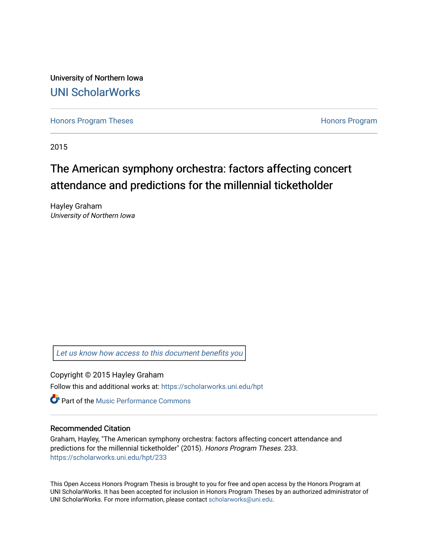University of Northern Iowa [UNI ScholarWorks](https://scholarworks.uni.edu/) 

[Honors Program Theses](https://scholarworks.uni.edu/hpt) **Honors Program** Honors Program

2015

# The American symphony orchestra: factors affecting concert attendance and predictions for the millennial ticketholder

Hayley Graham University of Northern Iowa

[Let us know how access to this document benefits you](https://scholarworks.uni.edu/feedback_form.html) 

Copyright © 2015 Hayley Graham

Follow this and additional works at: [https://scholarworks.uni.edu/hpt](https://scholarworks.uni.edu/hpt?utm_source=scholarworks.uni.edu%2Fhpt%2F233&utm_medium=PDF&utm_campaign=PDFCoverPages) 

**C** Part of the [Music Performance Commons](http://network.bepress.com/hgg/discipline/1128?utm_source=scholarworks.uni.edu%2Fhpt%2F233&utm_medium=PDF&utm_campaign=PDFCoverPages)

## Recommended Citation

Graham, Hayley, "The American symphony orchestra: factors affecting concert attendance and predictions for the millennial ticketholder" (2015). Honors Program Theses. 233. [https://scholarworks.uni.edu/hpt/233](https://scholarworks.uni.edu/hpt/233?utm_source=scholarworks.uni.edu%2Fhpt%2F233&utm_medium=PDF&utm_campaign=PDFCoverPages) 

This Open Access Honors Program Thesis is brought to you for free and open access by the Honors Program at UNI ScholarWorks. It has been accepted for inclusion in Honors Program Theses by an authorized administrator of UNI ScholarWorks. For more information, please contact [scholarworks@uni.edu.](mailto:scholarworks@uni.edu)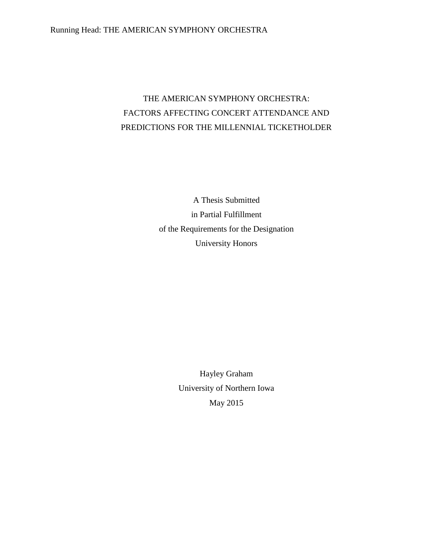# THE AMERICAN SYMPHONY ORCHESTRA: FACTORS AFFECTING CONCERT ATTENDANCE AND PREDICTIONS FOR THE MILLENNIAL TICKETHOLDER

A Thesis Submitted in Partial Fulfillment of the Requirements for the Designation University Honors

> Hayley Graham University of Northern Iowa May 2015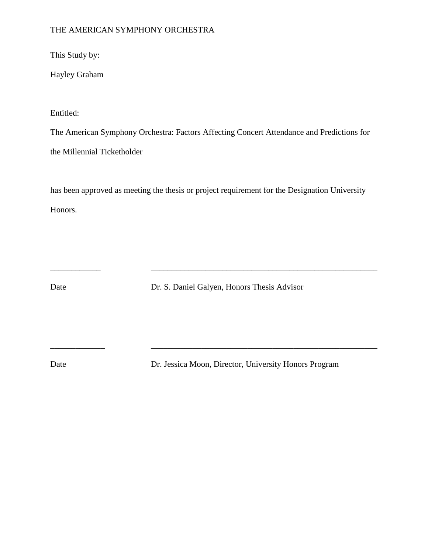## THE AMERICAN SYMPHONY ORCHESTRA

This Study by:

Hayley Graham

Entitled:

The American Symphony Orchestra: Factors Affecting Concert Attendance and Predictions for the Millennial Ticketholder

has been approved as meeting the thesis or project requirement for the Designation University Honors.

Date Dr. S. Daniel Galyen, Honors Thesis Advisor

\_\_\_\_\_\_\_\_\_\_\_\_\_ \_\_\_\_\_\_\_\_\_\_\_\_\_\_\_\_\_\_\_\_\_\_\_\_\_\_\_\_\_\_\_\_\_\_\_\_\_\_\_\_\_\_\_\_\_\_\_\_\_\_\_\_\_\_

Date Dr. Jessica Moon, Director, University Honors Program

\_\_\_\_\_\_\_\_\_\_\_\_ \_\_\_\_\_\_\_\_\_\_\_\_\_\_\_\_\_\_\_\_\_\_\_\_\_\_\_\_\_\_\_\_\_\_\_\_\_\_\_\_\_\_\_\_\_\_\_\_\_\_\_\_\_\_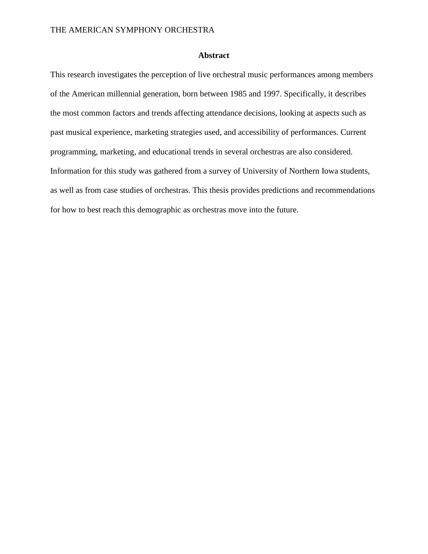## **Abstract**

This research investigates the perception of live orchestral music performances among members of the American millennial generation, born between 1985 and 1997. Specifically, it describes the most common factors and trends affecting attendance decisions, looking at aspects such as past musical experience, marketing strategies used, and accessibility of performances. Current programming, marketing, and educational trends in several orchestras are also considered. Information for this study was gathered from a survey of University of Northern Iowa students, as well as from case studies of orchestras. This thesis provides predictions and recommendations for how to best reach this demographic as orchestras move into the future.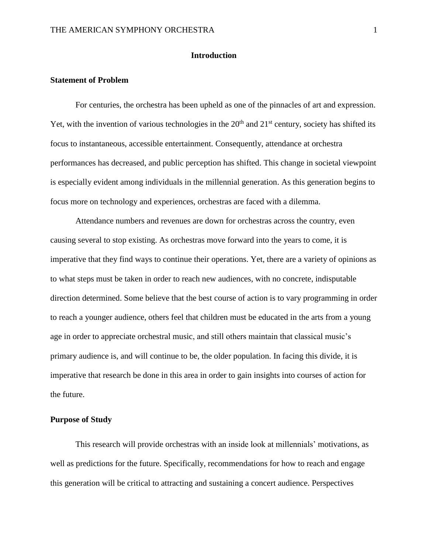## **Introduction**

#### **Statement of Problem**

For centuries, the orchestra has been upheld as one of the pinnacles of art and expression. Yet, with the invention of various technologies in the  $20<sup>th</sup>$  and  $21<sup>st</sup>$  century, society has shifted its focus to instantaneous, accessible entertainment. Consequently, attendance at orchestra performances has decreased, and public perception has shifted. This change in societal viewpoint is especially evident among individuals in the millennial generation. As this generation begins to focus more on technology and experiences, orchestras are faced with a dilemma.

Attendance numbers and revenues are down for orchestras across the country, even causing several to stop existing. As orchestras move forward into the years to come, it is imperative that they find ways to continue their operations. Yet, there are a variety of opinions as to what steps must be taken in order to reach new audiences, with no concrete, indisputable direction determined. Some believe that the best course of action is to vary programming in order to reach a younger audience, others feel that children must be educated in the arts from a young age in order to appreciate orchestral music, and still others maintain that classical music's primary audience is, and will continue to be, the older population. In facing this divide, it is imperative that research be done in this area in order to gain insights into courses of action for the future.

## **Purpose of Study**

This research will provide orchestras with an inside look at millennials' motivations, as well as predictions for the future. Specifically, recommendations for how to reach and engage this generation will be critical to attracting and sustaining a concert audience. Perspectives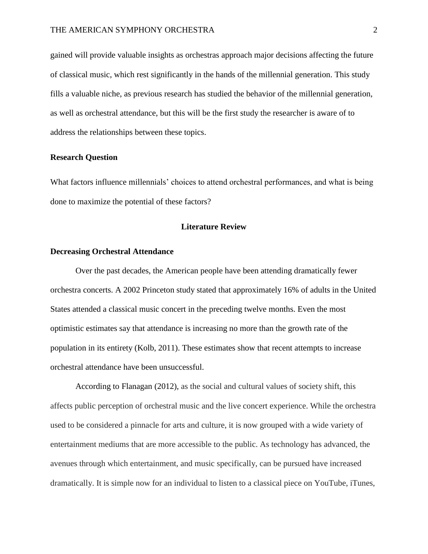gained will provide valuable insights as orchestras approach major decisions affecting the future of classical music, which rest significantly in the hands of the millennial generation. This study fills a valuable niche, as previous research has studied the behavior of the millennial generation, as well as orchestral attendance, but this will be the first study the researcher is aware of to address the relationships between these topics.

### **Research Question**

What factors influence millennials' choices to attend orchestral performances, and what is being done to maximize the potential of these factors?

#### **Literature Review**

### **Decreasing Orchestral Attendance**

Over the past decades, the American people have been attending dramatically fewer orchestra concerts. A 2002 Princeton study stated that approximately 16% of adults in the United States attended a classical music concert in the preceding twelve months. Even the most optimistic estimates say that attendance is increasing no more than the growth rate of the population in its entirety (Kolb, 2011). These estimates show that recent attempts to increase orchestral attendance have been unsuccessful.

According to Flanagan (2012), as the social and cultural values of society shift, this affects public perception of orchestral music and the live concert experience. While the orchestra used to be considered a pinnacle for arts and culture, it is now grouped with a wide variety of entertainment mediums that are more accessible to the public. As technology has advanced, the avenues through which entertainment, and music specifically, can be pursued have increased dramatically. It is simple now for an individual to listen to a classical piece on YouTube, iTunes,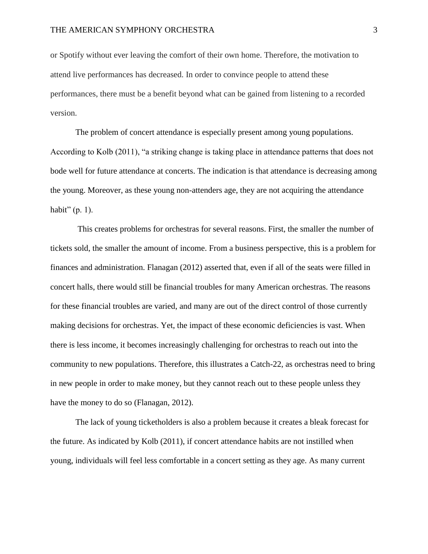or Spotify without ever leaving the comfort of their own home. Therefore, the motivation to attend live performances has decreased. In order to convince people to attend these performances, there must be a benefit beyond what can be gained from listening to a recorded version.

The problem of concert attendance is especially present among young populations. According to Kolb (2011), "a striking change is taking place in attendance patterns that does not bode well for future attendance at concerts. The indication is that attendance is decreasing among the young. Moreover, as these young non-attenders age, they are not acquiring the attendance habit"  $(p, 1)$ .

This creates problems for orchestras for several reasons. First, the smaller the number of tickets sold, the smaller the amount of income. From a business perspective, this is a problem for finances and administration. Flanagan (2012) asserted that, even if all of the seats were filled in concert halls, there would still be financial troubles for many American orchestras. The reasons for these financial troubles are varied, and many are out of the direct control of those currently making decisions for orchestras. Yet, the impact of these economic deficiencies is vast. When there is less income, it becomes increasingly challenging for orchestras to reach out into the community to new populations. Therefore, this illustrates a Catch-22, as orchestras need to bring in new people in order to make money, but they cannot reach out to these people unless they have the money to do so (Flanagan, 2012).

The lack of young ticketholders is also a problem because it creates a bleak forecast for the future. As indicated by Kolb (2011), if concert attendance habits are not instilled when young, individuals will feel less comfortable in a concert setting as they age. As many current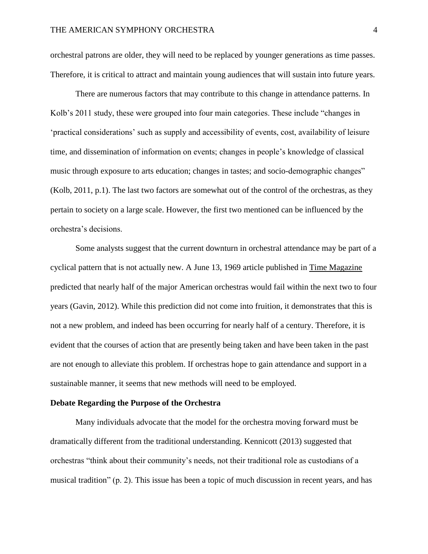orchestral patrons are older, they will need to be replaced by younger generations as time passes. Therefore, it is critical to attract and maintain young audiences that will sustain into future years.

There are numerous factors that may contribute to this change in attendance patterns. In Kolb's 2011 study, these were grouped into four main categories. These include "changes in 'practical considerations' such as supply and accessibility of events, cost, availability of leisure time, and dissemination of information on events; changes in people's knowledge of classical music through exposure to arts education; changes in tastes; and socio-demographic changes" (Kolb, 2011, p.1). The last two factors are somewhat out of the control of the orchestras, as they pertain to society on a large scale. However, the first two mentioned can be influenced by the orchestra's decisions.

Some analysts suggest that the current downturn in orchestral attendance may be part of a cyclical pattern that is not actually new. A June 13, 1969 article published in Time Magazine predicted that nearly half of the major American orchestras would fail within the next two to four years (Gavin, 2012). While this prediction did not come into fruition, it demonstrates that this is not a new problem, and indeed has been occurring for nearly half of a century. Therefore, it is evident that the courses of action that are presently being taken and have been taken in the past are not enough to alleviate this problem. If orchestras hope to gain attendance and support in a sustainable manner, it seems that new methods will need to be employed.

## **Debate Regarding the Purpose of the Orchestra**

Many individuals advocate that the model for the orchestra moving forward must be dramatically different from the traditional understanding. Kennicott (2013) suggested that orchestras "think about their community's needs, not their traditional role as custodians of a musical tradition" (p. 2). This issue has been a topic of much discussion in recent years, and has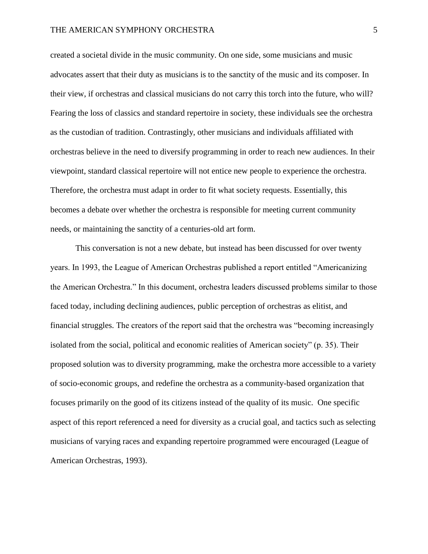created a societal divide in the music community. On one side, some musicians and music advocates assert that their duty as musicians is to the sanctity of the music and its composer. In their view, if orchestras and classical musicians do not carry this torch into the future, who will? Fearing the loss of classics and standard repertoire in society, these individuals see the orchestra as the custodian of tradition. Contrastingly, other musicians and individuals affiliated with orchestras believe in the need to diversify programming in order to reach new audiences. In their viewpoint, standard classical repertoire will not entice new people to experience the orchestra. Therefore, the orchestra must adapt in order to fit what society requests. Essentially, this becomes a debate over whether the orchestra is responsible for meeting current community needs, or maintaining the sanctity of a centuries-old art form.

This conversation is not a new debate, but instead has been discussed for over twenty years. In 1993, the League of American Orchestras published a report entitled "Americanizing the American Orchestra." In this document, orchestra leaders discussed problems similar to those faced today, including declining audiences, public perception of orchestras as elitist, and financial struggles. The creators of the report said that the orchestra was "becoming increasingly isolated from the social, political and economic realities of American society" (p. 35). Their proposed solution was to diversity programming, make the orchestra more accessible to a variety of socio-economic groups, and redefine the orchestra as a community-based organization that focuses primarily on the good of its citizens instead of the quality of its music. One specific aspect of this report referenced a need for diversity as a crucial goal, and tactics such as selecting musicians of varying races and expanding repertoire programmed were encouraged (League of American Orchestras, 1993).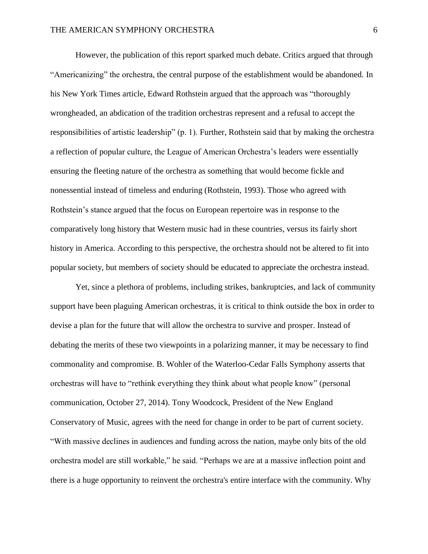However, the publication of this report sparked much debate. Critics argued that through "Americanizing" the orchestra, the central purpose of the establishment would be abandoned. In his New York Times article, Edward Rothstein argued that the approach was "thoroughly wrongheaded, an abdication of the tradition orchestras represent and a refusal to accept the responsibilities of artistic leadership" (p. 1). Further, Rothstein said that by making the orchestra a reflection of popular culture, the League of American Orchestra's leaders were essentially ensuring the fleeting nature of the orchestra as something that would become fickle and nonessential instead of timeless and enduring (Rothstein, 1993). Those who agreed with Rothstein's stance argued that the focus on European repertoire was in response to the comparatively long history that Western music had in these countries, versus its fairly short history in America. According to this perspective, the orchestra should not be altered to fit into popular society, but members of society should be educated to appreciate the orchestra instead.

Yet, since a plethora of problems, including strikes, bankruptcies, and lack of community support have been plaguing American orchestras, it is critical to think outside the box in order to devise a plan for the future that will allow the orchestra to survive and prosper. Instead of debating the merits of these two viewpoints in a polarizing manner, it may be necessary to find commonality and compromise. B. Wohler of the Waterloo-Cedar Falls Symphony asserts that orchestras will have to "rethink everything they think about what people know" (personal communication, October 27, 2014). Tony Woodcock, President of the New England Conservatory of Music, agrees with the need for change in order to be part of current society. "With massive declines in audiences and funding across the nation, maybe only bits of the old orchestra model are still workable," he said. "Perhaps we are at a massive inflection point and there is a huge opportunity to reinvent the orchestra's entire interface with the community. Why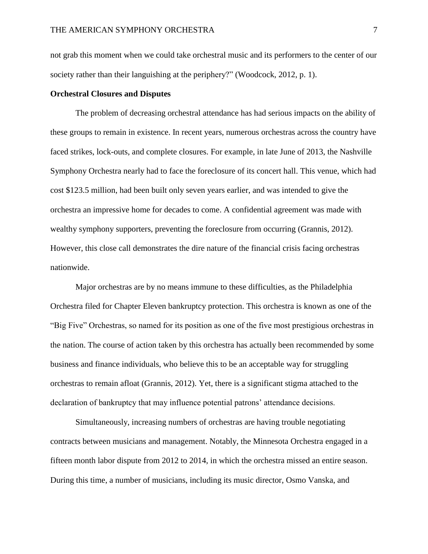not grab this moment when we could take orchestral music and its performers to the center of our society rather than their languishing at the periphery?" (Woodcock, 2012, p. 1).

### **Orchestral Closures and Disputes**

The problem of decreasing orchestral attendance has had serious impacts on the ability of these groups to remain in existence. In recent years, numerous orchestras across the country have faced strikes, lock-outs, and complete closures. For example, in late June of 2013, the Nashville Symphony Orchestra nearly had to face the foreclosure of its concert hall. This venue, which had cost \$123.5 million, had been built only seven years earlier, and was intended to give the orchestra an impressive home for decades to come. A confidential agreement was made with wealthy symphony supporters, preventing the foreclosure from occurring (Grannis, 2012). However, this close call demonstrates the dire nature of the financial crisis facing orchestras nationwide.

Major orchestras are by no means immune to these difficulties, as the Philadelphia Orchestra filed for Chapter Eleven bankruptcy protection. This orchestra is known as one of the "Big Five" Orchestras, so named for its position as one of the five most prestigious orchestras in the nation. The course of action taken by this orchestra has actually been recommended by some business and finance individuals, who believe this to be an acceptable way for struggling orchestras to remain afloat (Grannis, 2012). Yet, there is a significant stigma attached to the declaration of bankruptcy that may influence potential patrons' attendance decisions.

Simultaneously, increasing numbers of orchestras are having trouble negotiating contracts between musicians and management. Notably, the Minnesota Orchestra engaged in a fifteen month labor dispute from 2012 to 2014, in which the orchestra missed an entire season. During this time, a number of musicians, including its music director, Osmo Vanska, and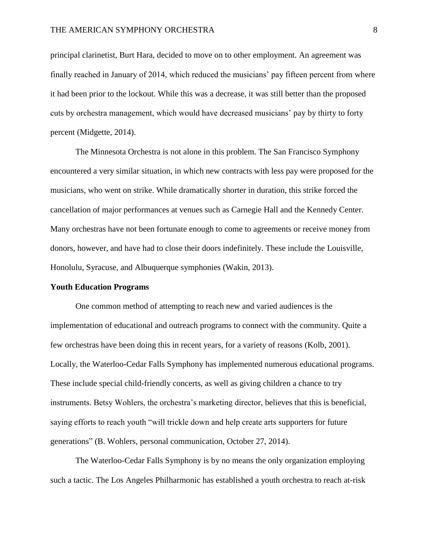principal clarinetist, Burt Hara, decided to move on to other employment. An agreement was finally reached in January of 2014, which reduced the musicians' pay fifteen percent from where it had been prior to the lockout. While this was a decrease, it was still better than the proposed cuts by orchestra management, which would have decreased musicians' pay by thirty to forty percent (Midgette, 2014).

The Minnesota Orchestra is not alone in this problem. The San Francisco Symphony encountered a very similar situation, in which new contracts with less pay were proposed for the musicians, who went on strike. While dramatically shorter in duration, this strike forced the cancellation of major performances at venues such as Carnegie Hall and the Kennedy Center. Many orchestras have not been fortunate enough to come to agreements or receive money from donors, however, and have had to close their doors indefinitely. These include the Louisville, Honolulu, Syracuse, and Albuquerque symphonies (Wakin, 2013).

#### **Youth Education Programs**

One common method of attempting to reach new and varied audiences is the implementation of educational and outreach programs to connect with the community. Quite a few orchestras have been doing this in recent years, for a variety of reasons (Kolb, 2001). Locally, the Waterloo-Cedar Falls Symphony has implemented numerous educational programs. These include special child-friendly concerts, as well as giving children a chance to try instruments. Betsy Wohlers, the orchestra's marketing director, believes that this is beneficial, saying efforts to reach youth "will trickle down and help create arts supporters for future generations" (B. Wohlers, personal communication, October 27, 2014).

The Waterloo-Cedar Falls Symphony is by no means the only organization employing such a tactic. The Los Angeles Philharmonic has established a youth orchestra to reach at-risk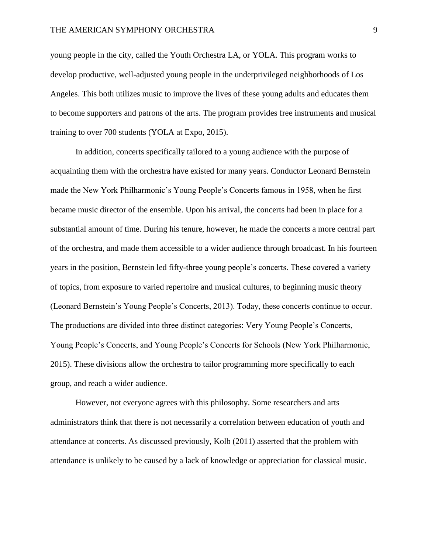young people in the city, called the Youth Orchestra LA, or YOLA. This program works to develop productive, well-adjusted young people in the underprivileged neighborhoods of Los Angeles. This both utilizes music to improve the lives of these young adults and educates them to become supporters and patrons of the arts. The program provides free instruments and musical training to over 700 students (YOLA at Expo, 2015).

In addition, concerts specifically tailored to a young audience with the purpose of acquainting them with the orchestra have existed for many years. Conductor Leonard Bernstein made the New York Philharmonic's Young People's Concerts famous in 1958, when he first became music director of the ensemble. Upon his arrival, the concerts had been in place for a substantial amount of time. During his tenure, however, he made the concerts a more central part of the orchestra, and made them accessible to a wider audience through broadcast. In his fourteen years in the position, Bernstein led fifty-three young people's concerts. These covered a variety of topics, from exposure to varied repertoire and musical cultures, to beginning music theory (Leonard Bernstein's Young People's Concerts, 2013). Today, these concerts continue to occur. The productions are divided into three distinct categories: Very Young People's Concerts, Young People's Concerts, and Young People's Concerts for Schools (New York Philharmonic, 2015). These divisions allow the orchestra to tailor programming more specifically to each group, and reach a wider audience.

However, not everyone agrees with this philosophy. Some researchers and arts administrators think that there is not necessarily a correlation between education of youth and attendance at concerts. As discussed previously, Kolb (2011) asserted that the problem with attendance is unlikely to be caused by a lack of knowledge or appreciation for classical music.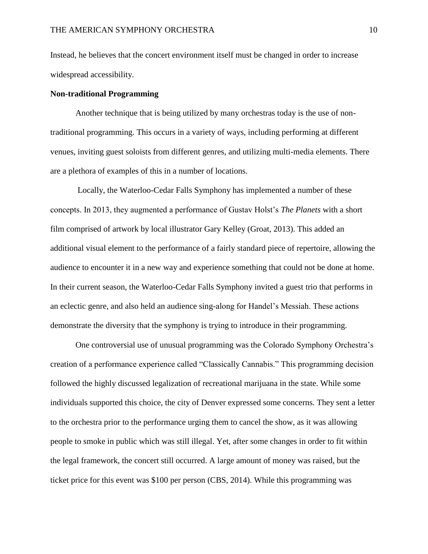Instead, he believes that the concert environment itself must be changed in order to increase widespread accessibility.

## **Non-traditional Programming**

Another technique that is being utilized by many orchestras today is the use of nontraditional programming. This occurs in a variety of ways, including performing at different venues, inviting guest soloists from different genres, and utilizing multi-media elements. There are a plethora of examples of this in a number of locations.

Locally, the Waterloo-Cedar Falls Symphony has implemented a number of these concepts. In 2013, they augmented a performance of Gustav Holst's *The Planets* with a short film comprised of artwork by local illustrator Gary Kelley (Groat, 2013). This added an additional visual element to the performance of a fairly standard piece of repertoire, allowing the audience to encounter it in a new way and experience something that could not be done at home. In their current season, the Waterloo-Cedar Falls Symphony invited a guest trio that performs in an eclectic genre, and also held an audience sing-along for Handel's Messiah. These actions demonstrate the diversity that the symphony is trying to introduce in their programming.

One controversial use of unusual programming was the Colorado Symphony Orchestra's creation of a performance experience called "Classically Cannabis." This programming decision followed the highly discussed legalization of recreational marijuana in the state. While some individuals supported this choice, the city of Denver expressed some concerns. They sent a letter to the orchestra prior to the performance urging them to cancel the show, as it was allowing people to smoke in public which was still illegal. Yet, after some changes in order to fit within the legal framework, the concert still occurred. A large amount of money was raised, but the ticket price for this event was \$100 per person (CBS, 2014). While this programming was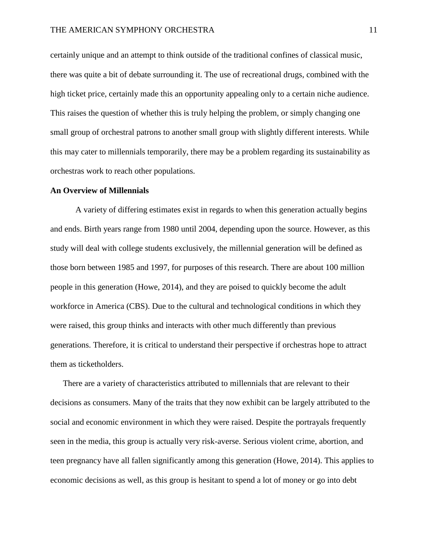certainly unique and an attempt to think outside of the traditional confines of classical music, there was quite a bit of debate surrounding it. The use of recreational drugs, combined with the high ticket price, certainly made this an opportunity appealing only to a certain niche audience. This raises the question of whether this is truly helping the problem, or simply changing one small group of orchestral patrons to another small group with slightly different interests. While this may cater to millennials temporarily, there may be a problem regarding its sustainability as orchestras work to reach other populations.

#### **An Overview of Millennials**

A variety of differing estimates exist in regards to when this generation actually begins and ends. Birth years range from 1980 until 2004, depending upon the source. However, as this study will deal with college students exclusively, the millennial generation will be defined as those born between 1985 and 1997, for purposes of this research. There are about 100 million people in this generation (Howe, 2014), and they are poised to quickly become the adult workforce in America (CBS). Due to the cultural and technological conditions in which they were raised, this group thinks and interacts with other much differently than previous generations. Therefore, it is critical to understand their perspective if orchestras hope to attract them as ticketholders.

There are a variety of characteristics attributed to millennials that are relevant to their decisions as consumers. Many of the traits that they now exhibit can be largely attributed to the social and economic environment in which they were raised. Despite the portrayals frequently seen in the media, this group is actually very risk-averse. Serious violent crime, abortion, and teen pregnancy have all fallen significantly among this generation (Howe, 2014). This applies to economic decisions as well, as this group is hesitant to spend a lot of money or go into debt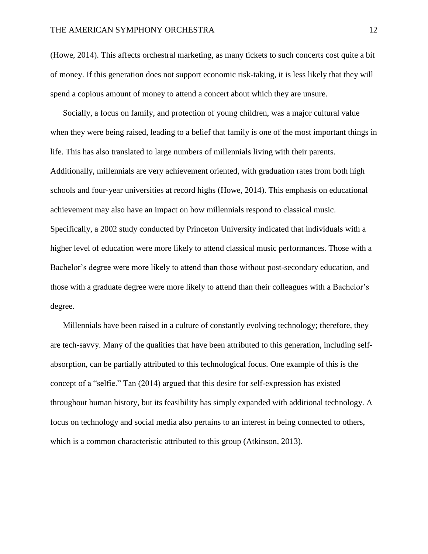(Howe, 2014). This affects orchestral marketing, as many tickets to such concerts cost quite a bit of money. If this generation does not support economic risk-taking, it is less likely that they will spend a copious amount of money to attend a concert about which they are unsure.

Socially, a focus on family, and protection of young children, was a major cultural value when they were being raised, leading to a belief that family is one of the most important things in life. This has also translated to large numbers of millennials living with their parents. Additionally, millennials are very achievement oriented, with graduation rates from both high schools and four-year universities at record highs (Howe, 2014). This emphasis on educational achievement may also have an impact on how millennials respond to classical music. Specifically, a 2002 study conducted by Princeton University indicated that individuals with a higher level of education were more likely to attend classical music performances. Those with a Bachelor's degree were more likely to attend than those without post-secondary education, and those with a graduate degree were more likely to attend than their colleagues with a Bachelor's degree.

Millennials have been raised in a culture of constantly evolving technology; therefore, they are tech-savvy. Many of the qualities that have been attributed to this generation, including selfabsorption, can be partially attributed to this technological focus. One example of this is the concept of a "selfie." Tan (2014) argued that this desire for self-expression has existed throughout human history, but its feasibility has simply expanded with additional technology. A focus on technology and social media also pertains to an interest in being connected to others, which is a common characteristic attributed to this group (Atkinson, 2013).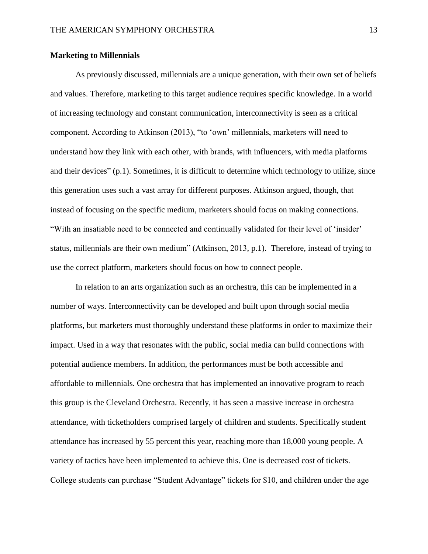## **Marketing to Millennials**

As previously discussed, millennials are a unique generation, with their own set of beliefs and values. Therefore, marketing to this target audience requires specific knowledge. In a world of increasing technology and constant communication, interconnectivity is seen as a critical component. According to Atkinson (2013), "to 'own' millennials, marketers will need to understand how they link with each other, with brands, with influencers, with media platforms and their devices" (p.1). Sometimes, it is difficult to determine which technology to utilize, since this generation uses such a vast array for different purposes. Atkinson argued, though, that instead of focusing on the specific medium, marketers should focus on making connections. "With an insatiable need to be connected and continually validated for their level of 'insider' status, millennials are their own medium" (Atkinson, 2013, p.1). Therefore, instead of trying to use the correct platform, marketers should focus on how to connect people.

In relation to an arts organization such as an orchestra, this can be implemented in a number of ways. Interconnectivity can be developed and built upon through social media platforms, but marketers must thoroughly understand these platforms in order to maximize their impact. Used in a way that resonates with the public, social media can build connections with potential audience members. In addition, the performances must be both accessible and affordable to millennials. One orchestra that has implemented an innovative program to reach this group is the Cleveland Orchestra. Recently, it has seen a massive increase in orchestra attendance, with ticketholders comprised largely of children and students. Specifically student attendance has increased by 55 percent this year, reaching more than 18,000 young people. A variety of tactics have been implemented to achieve this. One is decreased cost of tickets. College students can purchase "Student Advantage" tickets for \$10, and children under the age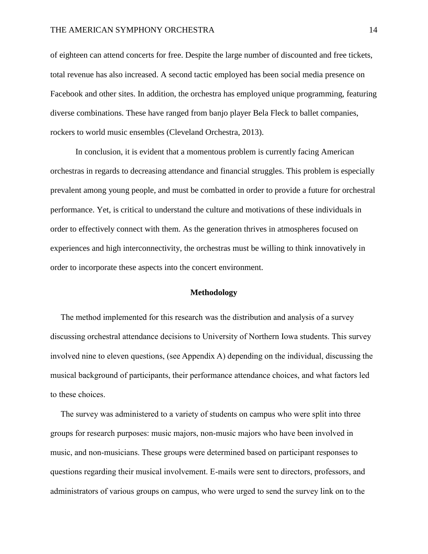of eighteen can attend concerts for free. Despite the large number of discounted and free tickets, total revenue has also increased. A second tactic employed has been social media presence on Facebook and other sites. In addition, the orchestra has employed unique programming, featuring diverse combinations. These have ranged from banjo player Bela Fleck to ballet companies, rockers to world music ensembles (Cleveland Orchestra, 2013).

In conclusion, it is evident that a momentous problem is currently facing American orchestras in regards to decreasing attendance and financial struggles. This problem is especially prevalent among young people, and must be combatted in order to provide a future for orchestral performance. Yet, is critical to understand the culture and motivations of these individuals in order to effectively connect with them. As the generation thrives in atmospheres focused on experiences and high interconnectivity, the orchestras must be willing to think innovatively in order to incorporate these aspects into the concert environment.

## **Methodology**

 The method implemented for this research was the distribution and analysis of a survey discussing orchestral attendance decisions to University of Northern Iowa students. This survey involved nine to eleven questions, (see Appendix A) depending on the individual, discussing the musical background of participants, their performance attendance choices, and what factors led to these choices.

 The survey was administered to a variety of students on campus who were split into three groups for research purposes: music majors, non-music majors who have been involved in music, and non-musicians. These groups were determined based on participant responses to questions regarding their musical involvement. E-mails were sent to directors, professors, and administrators of various groups on campus, who were urged to send the survey link on to the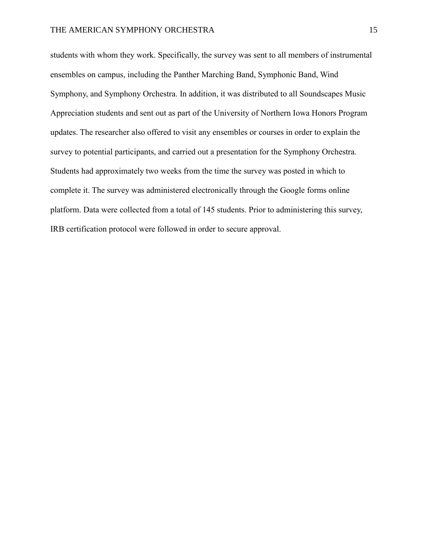students with whom they work. Specifically, the survey was sent to all members of instrumental ensembles on campus, including the Panther Marching Band, Symphonic Band, Wind Symphony, and Symphony Orchestra. In addition, it was distributed to all Soundscapes Music Appreciation students and sent out as part of the University of Northern Iowa Honors Program updates. The researcher also offered to visit any ensembles or courses in order to explain the survey to potential participants, and carried out a presentation for the Symphony Orchestra. Students had approximately two weeks from the time the survey was posted in which to complete it. The survey was administered electronically through the Google forms online platform. Data were collected from a total of 145 students. Prior to administering this survey, IRB certification protocol were followed in order to secure approval.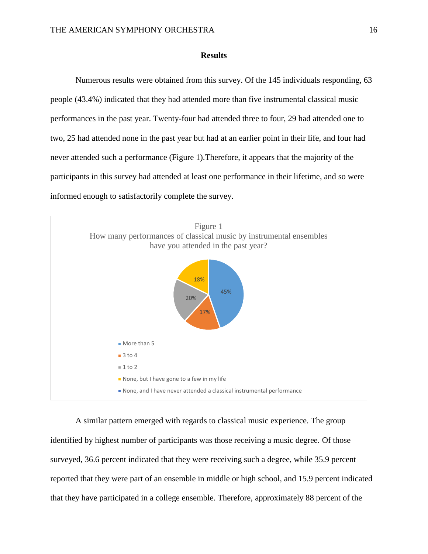#### **Results**

Numerous results were obtained from this survey. Of the 145 individuals responding, 63 people (43.4%) indicated that they had attended more than five instrumental classical music performances in the past year. Twenty-four had attended three to four, 29 had attended one to two, 25 had attended none in the past year but had at an earlier point in their life, and four had never attended such a performance (Figure 1).Therefore, it appears that the majority of the participants in this survey had attended at least one performance in their lifetime, and so were informed enough to satisfactorily complete the survey.



A similar pattern emerged with regards to classical music experience. The group identified by highest number of participants was those receiving a music degree. Of those surveyed, 36.6 percent indicated that they were receiving such a degree, while 35.9 percent reported that they were part of an ensemble in middle or high school, and 15.9 percent indicated that they have participated in a college ensemble. Therefore, approximately 88 percent of the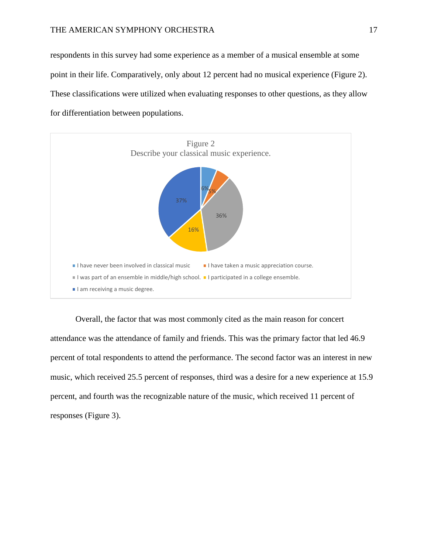respondents in this survey had some experience as a member of a musical ensemble at some point in their life. Comparatively, only about 12 percent had no musical experience (Figure 2). These classifications were utilized when evaluating responses to other questions, as they allow for differentiation between populations.



Overall, the factor that was most commonly cited as the main reason for concert attendance was the attendance of family and friends. This was the primary factor that led 46.9 percent of total respondents to attend the performance. The second factor was an interest in new music, which received 25.5 percent of responses, third was a desire for a new experience at 15.9 percent, and fourth was the recognizable nature of the music, which received 11 percent of responses (Figure 3).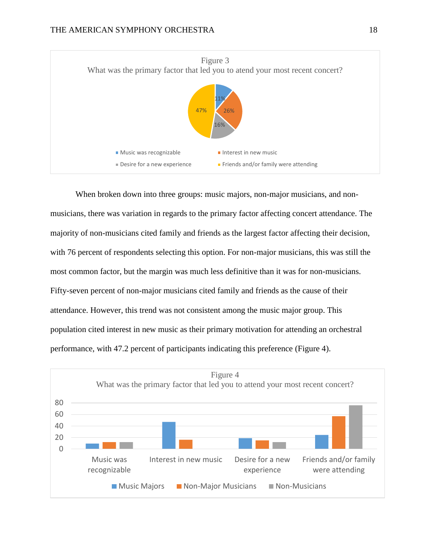

When broken down into three groups: music majors, non-major musicians, and nonmusicians, there was variation in regards to the primary factor affecting concert attendance. The majority of non-musicians cited family and friends as the largest factor affecting their decision, with 76 percent of respondents selecting this option. For non-major musicians, this was still the most common factor, but the margin was much less definitive than it was for non-musicians. Fifty-seven percent of non-major musicians cited family and friends as the cause of their attendance. However, this trend was not consistent among the music major group. This population cited interest in new music as their primary motivation for attending an orchestral performance, with 47.2 percent of participants indicating this preference (Figure 4).

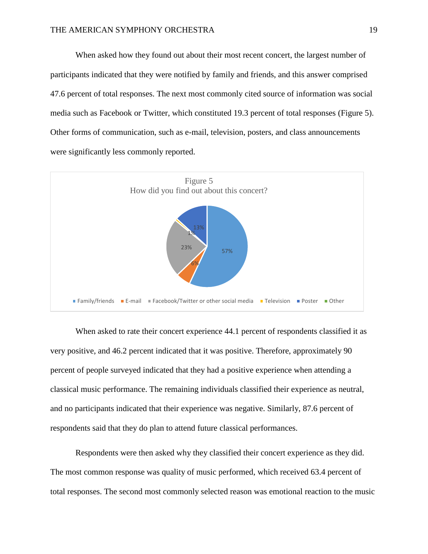When asked how they found out about their most recent concert, the largest number of participants indicated that they were notified by family and friends, and this answer comprised 47.6 percent of total responses. The next most commonly cited source of information was social media such as Facebook or Twitter, which constituted 19.3 percent of total responses (Figure 5). Other forms of communication, such as e-mail, television, posters, and class announcements were significantly less commonly reported.



When asked to rate their concert experience 44.1 percent of respondents classified it as very positive, and 46.2 percent indicated that it was positive. Therefore, approximately 90 percent of people surveyed indicated that they had a positive experience when attending a classical music performance. The remaining individuals classified their experience as neutral, and no participants indicated that their experience was negative. Similarly, 87.6 percent of respondents said that they do plan to attend future classical performances.

Respondents were then asked why they classified their concert experience as they did. The most common response was quality of music performed, which received 63.4 percent of total responses. The second most commonly selected reason was emotional reaction to the music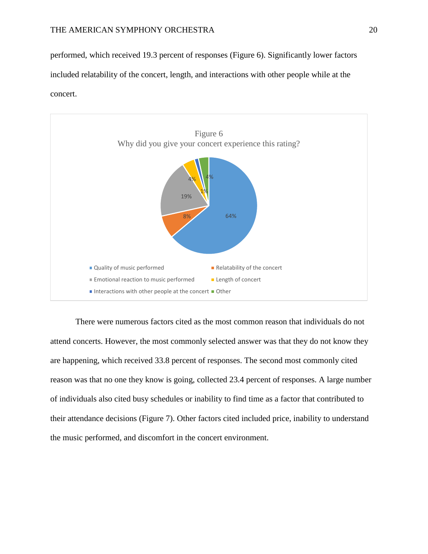performed, which received 19.3 percent of responses (Figure 6). Significantly lower factors included relatability of the concert, length, and interactions with other people while at the concert.



There were numerous factors cited as the most common reason that individuals do not attend concerts. However, the most commonly selected answer was that they do not know they are happening, which received 33.8 percent of responses. The second most commonly cited reason was that no one they know is going, collected 23.4 percent of responses. A large number of individuals also cited busy schedules or inability to find time as a factor that contributed to their attendance decisions (Figure 7). Other factors cited included price, inability to understand the music performed, and discomfort in the concert environment.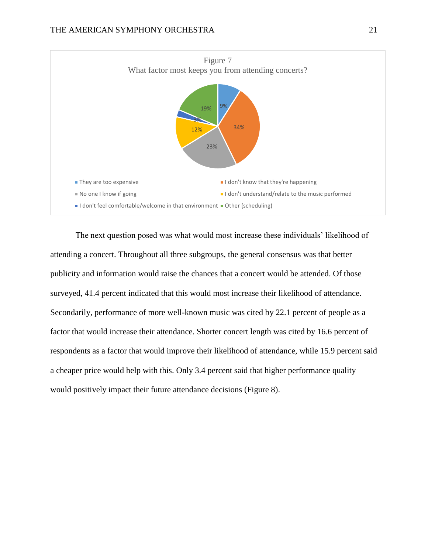

The next question posed was what would most increase these individuals' likelihood of attending a concert. Throughout all three subgroups, the general consensus was that better publicity and information would raise the chances that a concert would be attended. Of those surveyed, 41.4 percent indicated that this would most increase their likelihood of attendance. Secondarily, performance of more well-known music was cited by 22.1 percent of people as a factor that would increase their attendance. Shorter concert length was cited by 16.6 percent of respondents as a factor that would improve their likelihood of attendance, while 15.9 percent said a cheaper price would help with this. Only 3.4 percent said that higher performance quality would positively impact their future attendance decisions (Figure 8).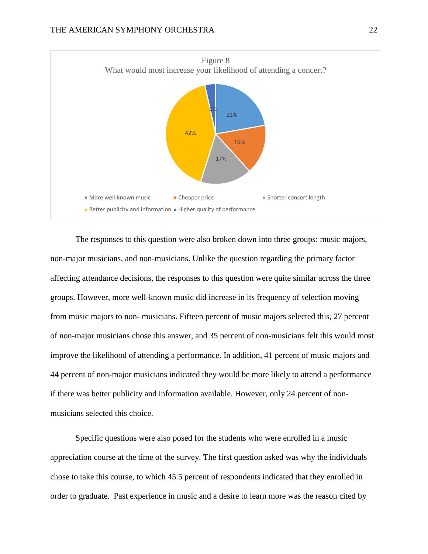

The responses to this question were also broken down into three groups: music majors, non-major musicians, and non-musicians. Unlike the question regarding the primary factor affecting attendance decisions, the responses to this question were quite similar across the three groups. However, more well-known music did increase in its frequency of selection moving from music majors to non- musicians. Fifteen percent of music majors selected this, 27 percent of non-major musicians chose this answer, and 35 percent of non-musicians felt this would most improve the likelihood of attending a performance. In addition, 41 percent of music majors and 44 percent of non-major musicians indicated they would be more likely to attend a performance if there was better publicity and information available. However, only 24 percent of nonmusicians selected this choice.

Specific questions were also posed for the students who were enrolled in a music appreciation course at the time of the survey. The first question asked was why the individuals chose to take this course, to which 45.5 percent of respondents indicated that they enrolled in order to graduate. Past experience in music and a desire to learn more was the reason cited by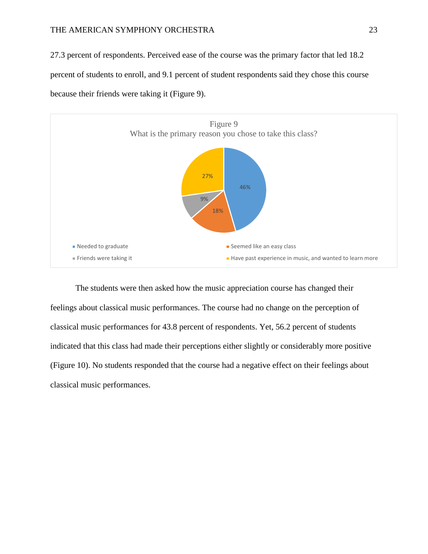### THE AMERICAN SYMPHONY ORCHESTRA 23

27.3 percent of respondents. Perceived ease of the course was the primary factor that led 18.2 percent of students to enroll, and 9.1 percent of student respondents said they chose this course because their friends were taking it (Figure 9).



The students were then asked how the music appreciation course has changed their feelings about classical music performances. The course had no change on the perception of classical music performances for 43.8 percent of respondents. Yet, 56.2 percent of students indicated that this class had made their perceptions either slightly or considerably more positive (Figure 10). No students responded that the course had a negative effect on their feelings about classical music performances.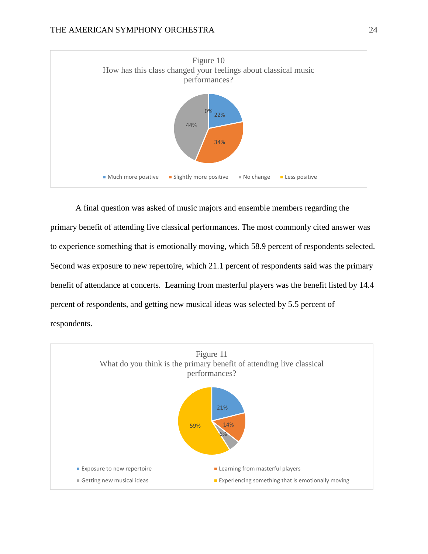

A final question was asked of music majors and ensemble members regarding the primary benefit of attending live classical performances. The most commonly cited answer was to experience something that is emotionally moving, which 58.9 percent of respondents selected. Second was exposure to new repertoire, which 21.1 percent of respondents said was the primary benefit of attendance at concerts. Learning from masterful players was the benefit listed by 14.4 percent of respondents, and getting new musical ideas was selected by 5.5 percent of respondents.

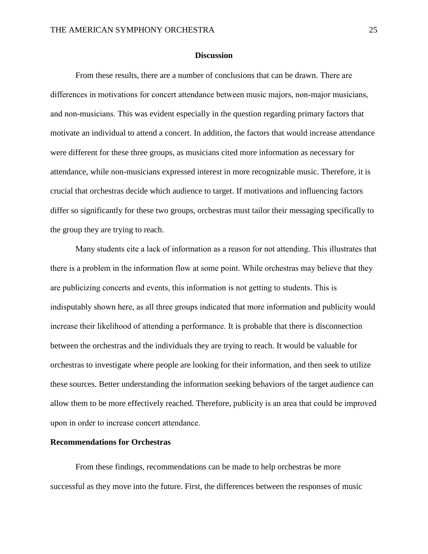#### **Discussion**

From these results, there are a number of conclusions that can be drawn. There are differences in motivations for concert attendance between music majors, non-major musicians, and non-musicians. This was evident especially in the question regarding primary factors that motivate an individual to attend a concert. In addition, the factors that would increase attendance were different for these three groups, as musicians cited more information as necessary for attendance, while non-musicians expressed interest in more recognizable music. Therefore, it is crucial that orchestras decide which audience to target. If motivations and influencing factors differ so significantly for these two groups, orchestras must tailor their messaging specifically to the group they are trying to reach.

Many students cite a lack of information as a reason for not attending. This illustrates that there is a problem in the information flow at some point. While orchestras may believe that they are publicizing concerts and events, this information is not getting to students. This is indisputably shown here, as all three groups indicated that more information and publicity would increase their likelihood of attending a performance. It is probable that there is disconnection between the orchestras and the individuals they are trying to reach. It would be valuable for orchestras to investigate where people are looking for their information, and then seek to utilize these sources. Better understanding the information seeking behaviors of the target audience can allow them to be more effectively reached. Therefore, publicity is an area that could be improved upon in order to increase concert attendance.

#### **Recommendations for Orchestras**

From these findings, recommendations can be made to help orchestras be more successful as they move into the future. First, the differences between the responses of music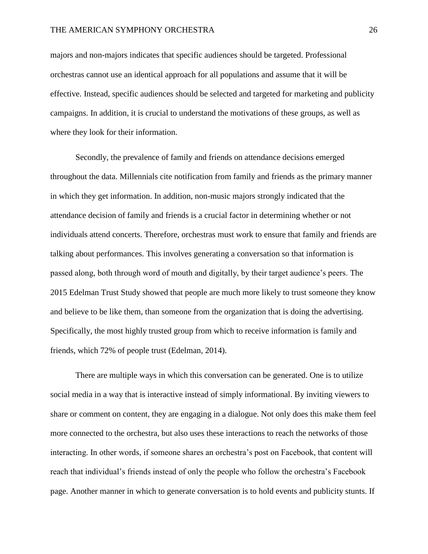majors and non-majors indicates that specific audiences should be targeted. Professional orchestras cannot use an identical approach for all populations and assume that it will be effective. Instead, specific audiences should be selected and targeted for marketing and publicity campaigns. In addition, it is crucial to understand the motivations of these groups, as well as where they look for their information.

Secondly, the prevalence of family and friends on attendance decisions emerged throughout the data. Millennials cite notification from family and friends as the primary manner in which they get information. In addition, non-music majors strongly indicated that the attendance decision of family and friends is a crucial factor in determining whether or not individuals attend concerts. Therefore, orchestras must work to ensure that family and friends are talking about performances. This involves generating a conversation so that information is passed along, both through word of mouth and digitally, by their target audience's peers. The 2015 Edelman Trust Study showed that people are much more likely to trust someone they know and believe to be like them, than someone from the organization that is doing the advertising. Specifically, the most highly trusted group from which to receive information is family and friends, which 72% of people trust (Edelman, 2014).

There are multiple ways in which this conversation can be generated. One is to utilize social media in a way that is interactive instead of simply informational. By inviting viewers to share or comment on content, they are engaging in a dialogue. Not only does this make them feel more connected to the orchestra, but also uses these interactions to reach the networks of those interacting. In other words, if someone shares an orchestra's post on Facebook, that content will reach that individual's friends instead of only the people who follow the orchestra's Facebook page. Another manner in which to generate conversation is to hold events and publicity stunts. If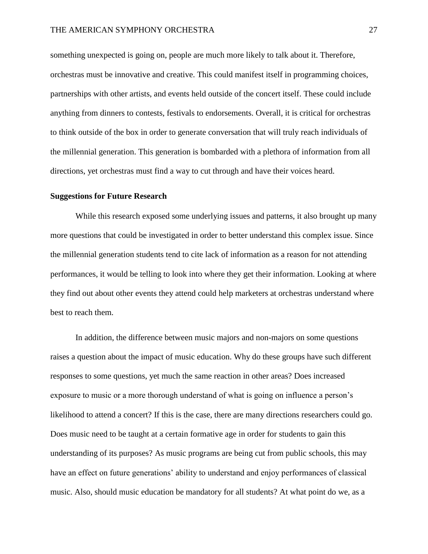something unexpected is going on, people are much more likely to talk about it. Therefore, orchestras must be innovative and creative. This could manifest itself in programming choices, partnerships with other artists, and events held outside of the concert itself. These could include anything from dinners to contests, festivals to endorsements. Overall, it is critical for orchestras to think outside of the box in order to generate conversation that will truly reach individuals of the millennial generation. This generation is bombarded with a plethora of information from all directions, yet orchestras must find a way to cut through and have their voices heard.

## **Suggestions for Future Research**

While this research exposed some underlying issues and patterns, it also brought up many more questions that could be investigated in order to better understand this complex issue. Since the millennial generation students tend to cite lack of information as a reason for not attending performances, it would be telling to look into where they get their information. Looking at where they find out about other events they attend could help marketers at orchestras understand where best to reach them.

In addition, the difference between music majors and non-majors on some questions raises a question about the impact of music education. Why do these groups have such different responses to some questions, yet much the same reaction in other areas? Does increased exposure to music or a more thorough understand of what is going on influence a person's likelihood to attend a concert? If this is the case, there are many directions researchers could go. Does music need to be taught at a certain formative age in order for students to gain this understanding of its purposes? As music programs are being cut from public schools, this may have an effect on future generations' ability to understand and enjoy performances of classical music. Also, should music education be mandatory for all students? At what point do we, as a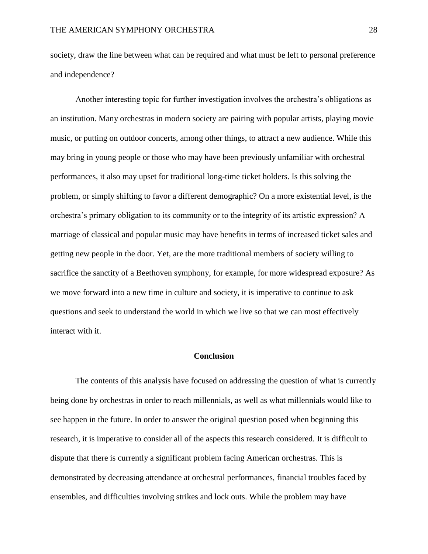society, draw the line between what can be required and what must be left to personal preference and independence?

Another interesting topic for further investigation involves the orchestra's obligations as an institution. Many orchestras in modern society are pairing with popular artists, playing movie music, or putting on outdoor concerts, among other things, to attract a new audience. While this may bring in young people or those who may have been previously unfamiliar with orchestral performances, it also may upset for traditional long-time ticket holders. Is this solving the problem, or simply shifting to favor a different demographic? On a more existential level, is the orchestra's primary obligation to its community or to the integrity of its artistic expression? A marriage of classical and popular music may have benefits in terms of increased ticket sales and getting new people in the door. Yet, are the more traditional members of society willing to sacrifice the sanctity of a Beethoven symphony, for example, for more widespread exposure? As we move forward into a new time in culture and society, it is imperative to continue to ask questions and seek to understand the world in which we live so that we can most effectively interact with it.

## **Conclusion**

The contents of this analysis have focused on addressing the question of what is currently being done by orchestras in order to reach millennials, as well as what millennials would like to see happen in the future. In order to answer the original question posed when beginning this research, it is imperative to consider all of the aspects this research considered. It is difficult to dispute that there is currently a significant problem facing American orchestras. This is demonstrated by decreasing attendance at orchestral performances, financial troubles faced by ensembles, and difficulties involving strikes and lock outs. While the problem may have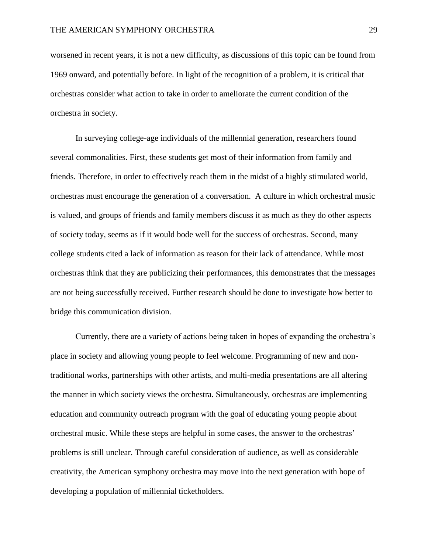worsened in recent years, it is not a new difficulty, as discussions of this topic can be found from 1969 onward, and potentially before. In light of the recognition of a problem, it is critical that orchestras consider what action to take in order to ameliorate the current condition of the orchestra in society.

In surveying college-age individuals of the millennial generation, researchers found several commonalities. First, these students get most of their information from family and friends. Therefore, in order to effectively reach them in the midst of a highly stimulated world, orchestras must encourage the generation of a conversation. A culture in which orchestral music is valued, and groups of friends and family members discuss it as much as they do other aspects of society today, seems as if it would bode well for the success of orchestras. Second, many college students cited a lack of information as reason for their lack of attendance. While most orchestras think that they are publicizing their performances, this demonstrates that the messages are not being successfully received. Further research should be done to investigate how better to bridge this communication division.

Currently, there are a variety of actions being taken in hopes of expanding the orchestra's place in society and allowing young people to feel welcome. Programming of new and nontraditional works, partnerships with other artists, and multi-media presentations are all altering the manner in which society views the orchestra. Simultaneously, orchestras are implementing education and community outreach program with the goal of educating young people about orchestral music. While these steps are helpful in some cases, the answer to the orchestras' problems is still unclear. Through careful consideration of audience, as well as considerable creativity, the American symphony orchestra may move into the next generation with hope of developing a population of millennial ticketholders.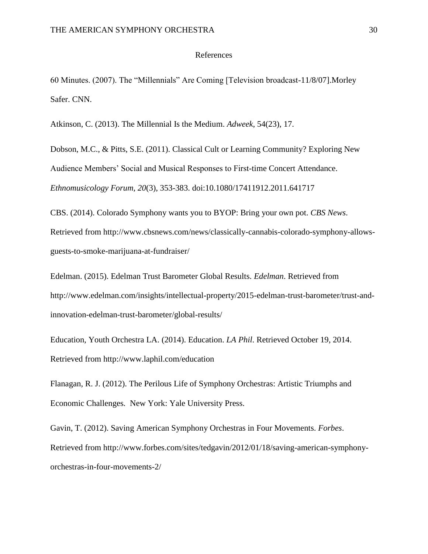#### References

60 Minutes. (2007). The "Millennials" Are Coming [Television broadcast-11/8/07].Morley Safer. CNN.

Atkinson, C. (2013). The Millennial Is the Medium. *Adweek*, 54(23), 17.

Dobson, M.C., & Pitts, S.E. (2011). Classical Cult or Learning Community? Exploring New Audience Members' Social and Musical Responses to First-time Concert Attendance. *Ethnomusicology Forum, 20*(3), 353-383. doi:10.1080/17411912.2011.641717

CBS. (2014). Colorado Symphony wants you to BYOP: Bring your own pot. *CBS News*. Retrieved from http://www.cbsnews.com/news/classically-cannabis-colorado-symphony-allowsguests-to-smoke-marijuana-at-fundraiser/

Edelman. (2015). Edelman Trust Barometer Global Results. *Edelman*. Retrieved from http://www.edelman.com/insights/intellectual-property/2015-edelman-trust-barometer/trust-andinnovation-edelman-trust-barometer/global-results/

Education, Youth Orchestra LA. (2014). Education. *LA Phil*. Retrieved October 19, 2014. Retrieved from<http://www.laphil.com/education>

Flanagan, R. J. (2012). The Perilous Life of Symphony Orchestras: Artistic Triumphs and Economic Challenges*.* New York: Yale University Press.

Gavin, T. (2012). Saving American Symphony Orchestras in Four Movements. *Forbes*. Retrieved from http://www.forbes.com/sites/tedgavin/2012/01/18/saving-american-symphonyorchestras-in-four-movements-2/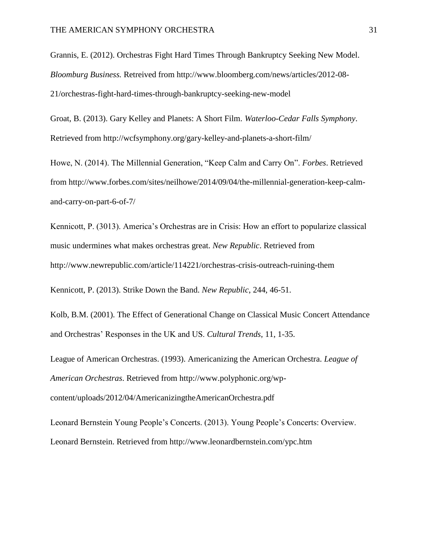Grannis, E. (2012). Orchestras Fight Hard Times Through Bankruptcy Seeking New Model. *Bloomburg Business.* Retreived from [http://www.bloomberg.com/news/articles/2012-08-](http://www.bloomberg.com/news/articles/2012-08-21/orchestras-fight-hard-times-through-bankruptcy-seeking-new-model) [21/orchestras-fight-hard-times-through-bankruptcy-seeking-new-model](http://www.bloomberg.com/news/articles/2012-08-21/orchestras-fight-hard-times-through-bankruptcy-seeking-new-model)

Groat, B. (2013). Gary Kelley and Planets: A Short Film. *Waterloo-Cedar Falls Symphony*. Retrieved from http://wcfsymphony.org/gary-kelley-and-planets-a-short-film/

Howe, N. (2014). The Millennial Generation, "Keep Calm and Carry On". *Forbes*. Retrieved from [http://www.forbes.com/sites/neilhowe/2014/09/04/the-millennial-generation-keep-calm](http://www.forbes.com/sites/neilhowe/2014/09/04/the-millennial-generation-keep-calm-and-carry-on-part-6-of-7/)[and-carry-on-part-6-of-7/](http://www.forbes.com/sites/neilhowe/2014/09/04/the-millennial-generation-keep-calm-and-carry-on-part-6-of-7/)

Kennicott, P. (3013). America's Orchestras are in Crisis: How an effort to popularize classical music undermines what makes orchestras great. *New Republic*. Retrieved from http://www.newrepublic.com/article/114221/orchestras-crisis-outreach-ruining-them

Kennicott, P. (2013). Strike Down the Band. *New Republic*, 244, 46-51.

Kolb, B.M. (2001). The Effect of Generational Change on Classical Music Concert Attendance and Orchestras' Responses in the UK and US. *Cultural Trends*, 11, 1-35.

League of American Orchestras. (1993). Americanizing the American Orchestra. *League of American Orchestras*. Retrieved from [http://www.polyphonic.org/wp](http://www.polyphonic.org/wp-content/uploads/2012/04/AmericanizingtheAmericanOrchestra.pdf)[content/uploads/2012/04/AmericanizingtheAmericanOrchestra.pdf](http://www.polyphonic.org/wp-content/uploads/2012/04/AmericanizingtheAmericanOrchestra.pdf)

Leonard Bernstein Young People's Concerts. (2013). Young People's Concerts: Overview. Leonard Bernstein. Retrieved from http://www.leonardbernstein.com/ypc.htm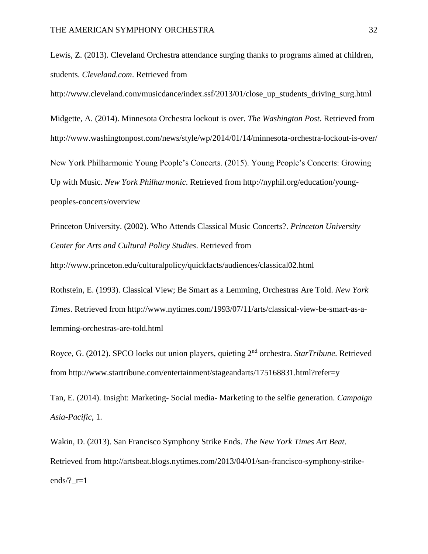Lewis, Z. (2013). Cleveland Orchestra attendance surging thanks to programs aimed at children, students. *Cleveland.com*. Retrieved from

[http://www.cleveland.com/musicdance/index.ssf/2013/01/close\\_up\\_students\\_driving\\_surg.html](http://www.cleveland.com/musicdance/index.ssf/2013/01/close_up_students_driving_surg.html)

Midgette, A. (2014). Minnesota Orchestra lockout is over. *The Washington Post*. Retrieved from <http://www.washingtonpost.com/news/style/wp/2014/01/14/minnesota-orchestra-lockout-is-over/>

New York Philharmonic Young People's Concerts. (2015). Young People's Concerts: Growing Up with Music. *New York Philharmonic*. Retrieved from http://nyphil.org/education/youngpeoples-concerts/overview

Princeton University. (2002). Who Attends Classical Music Concerts?. *Princeton University Center for Arts and Cultural Policy Studies*. Retrieved from

http://www.princeton.edu/culturalpolicy/quickfacts/audiences/classical02.html

Rothstein, E. (1993). Classical View; Be Smart as a Lemming, Orchestras Are Told. *New York Times*. Retrieved from http://www.nytimes.com/1993/07/11/arts/classical-view-be-smart-as-alemming-orchestras-are-told.html

Royce, G. (2012). SPCO locks out union players, quieting 2nd orchestra. *StarTribune*. Retrieved from http://www.startribune.com/entertainment/stageandarts/175168831.html?refer=y

Tan, E. (2014). Insight: Marketing- Social media- Marketing to the selfie generation. *Campaign Asia-Pacific*, 1.

Wakin, D. (2013). San Francisco Symphony Strike Ends. *The New York Times Art Beat*. Retrieved from http://artsbeat.blogs.nytimes.com/2013/04/01/san-francisco-symphony-strikeends/? $r=1$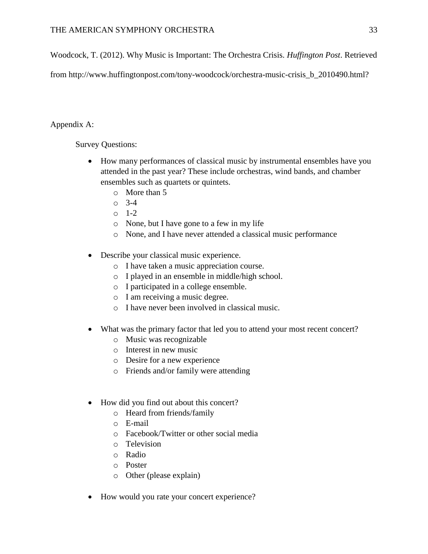Woodcock, T. (2012). Why Music is Important: The Orchestra Crisis. *Huffington Post*. Retrieved

from [http://www.huffingtonpost.com/tony-woodcock/orchestra-music-crisis\\_b\\_2010490.html?](http://www.huffingtonpost.com/tony-woodcock/orchestra-music-crisis_b_2010490.html)

## Appendix A:

Survey Questions:

- How many performances of classical music by instrumental ensembles have you attended in the past year? These include orchestras, wind bands, and chamber ensembles such as quartets or quintets.
	- o More than 5
	- o 3-4
	- o 1-2
	- o None, but I have gone to a few in my life
	- o None, and I have never attended a classical music performance
- Describe your classical music experience.
	- o I have taken a music appreciation course.
	- o I played in an ensemble in middle/high school.
	- o I participated in a college ensemble.
	- o I am receiving a music degree.
	- o I have never been involved in classical music.
- What was the primary factor that led you to attend your most recent concert?
	- o Music was recognizable
	- o Interest in new music
	- o Desire for a new experience
	- o Friends and/or family were attending
- How did you find out about this concert?
	- o Heard from friends/family
	- o E-mail
	- o Facebook/Twitter or other social media
	- o Television
	- o Radio
	- o Poster
	- o Other (please explain)
- How would you rate your concert experience?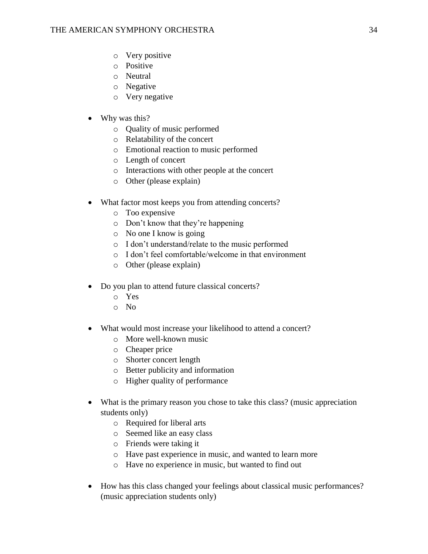- o Very positive
- o Positive
- o Neutral
- o Negative
- o Very negative
- Why was this?
	- o Quality of music performed
	- o Relatability of the concert
	- o Emotional reaction to music performed
	- o Length of concert
	- o Interactions with other people at the concert
	- o Other (please explain)
- What factor most keeps you from attending concerts?
	- o Too expensive
	- o Don't know that they're happening
	- o No one I know is going
	- o I don't understand/relate to the music performed
	- o I don't feel comfortable/welcome in that environment
	- o Other (please explain)
- Do you plan to attend future classical concerts?
	- o Yes
	- o No
- What would most increase your likelihood to attend a concert?
	- o More well-known music
	- o Cheaper price
	- o Shorter concert length
	- o Better publicity and information
	- o Higher quality of performance
- What is the primary reason you chose to take this class? (music appreciation students only)
	- o Required for liberal arts
	- o Seemed like an easy class
	- o Friends were taking it
	- o Have past experience in music, and wanted to learn more
	- o Have no experience in music, but wanted to find out
- How has this class changed your feelings about classical music performances? (music appreciation students only)